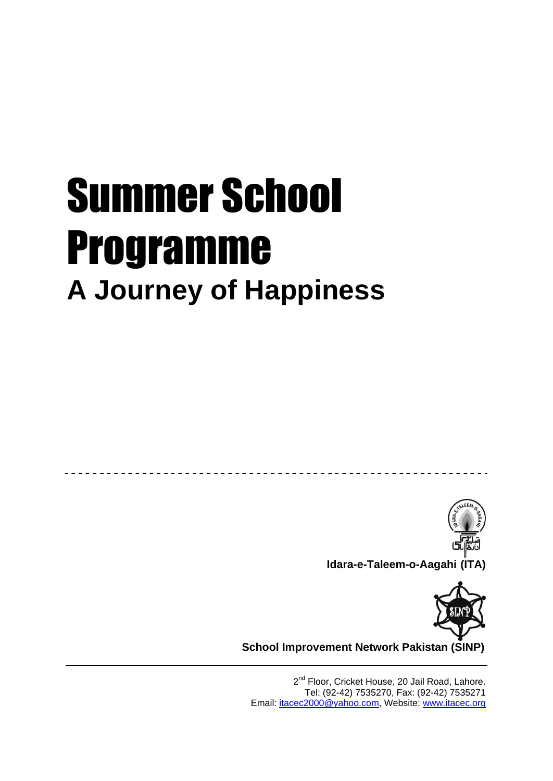# Summer School Programme **A Journey of Happiness**



**Idara-e-Taleem-o-Aagahi (ITA)**



**School Improvement Network Pakistan (SINP)**

2<sup>nd</sup> Floor, Cricket House, 20 Jail Road, Lahore. Tel: (92-42) 7535270, Fax: (92-42) 7535271 Email: [itacec2000@yahoo.com,](mailto:itacec2000@yahoo.com) Website: [www.itacec.org](http://www.itacec.org/)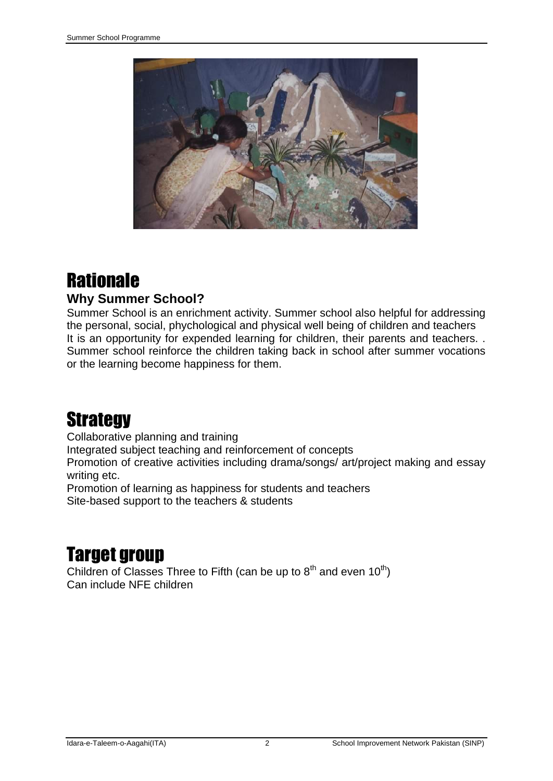

#### **Rationale**

#### **Why Summer School?**

Summer School is an enrichment activity. Summer school also helpful for addressing the personal, social, phychological and physical well being of children and teachers It is an opportunity for expended learning for children, their parents and teachers. . Summer school reinforce the children taking back in school after summer vocations or the learning become happiness for them.

#### **Strategy**

Collaborative planning and training

Integrated subject teaching and reinforcement of concepts

Promotion of creative activities including drama/songs/ art/project making and essay writing etc.

Promotion of learning as happiness for students and teachers Site-based support to the teachers & students

#### Target group

Children of Classes Three to Fifth (can be up to  $8<sup>th</sup>$  and even  $10<sup>th</sup>$ ) Can include NFE children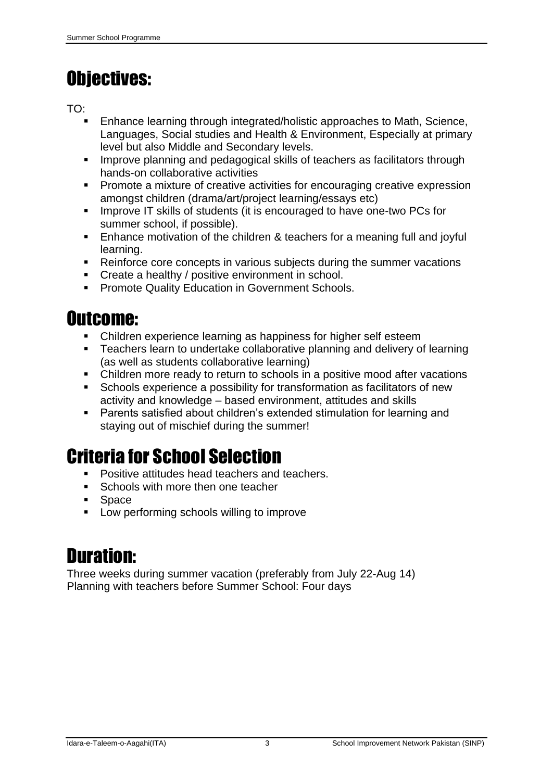### Objectives:

TO:

- Enhance learning through integrated/holistic approaches to Math, Science, Languages, Social studies and Health & Environment, Especially at primary level but also Middle and Secondary levels.
- **IMPROVE PROGOGICAL SKILLS IS A THE IMPROVE PROGOGICAL SKILLS OF THE IMPROVE PROGOGICAL SKILLS INC.** hands-on collaborative activities
- **Promote a mixture of creative activities for encouraging creative expression** amongst children (drama/art/project learning/essays etc)
- **IMPROVE IT skills of students (it is encouraged to have one-two PCs for** summer school, if possible).
- **Enhance motivation of the children & teachers for a meaning full and joyful** learning.
- Reinforce core concepts in various subjects during the summer vacations
- **Create a healthy / positive environment in school.**
- **Promote Quality Education in Government Schools.**

#### Outcome:

- Children experience learning as happiness for higher self esteem
- **Teachers learn to undertake collaborative planning and delivery of learning** (as well as students collaborative learning)
- Children more ready to return to schools in a positive mood after vacations
- Schools experience a possibility for transformation as facilitators of new activity and knowledge – based environment, attitudes and skills
- **Parents satisfied about children's extended stimulation for learning and** staying out of mischief during the summer!

## Criteria for School Selection

- **Positive attitudes head teachers and teachers.**
- Schools with more then one teacher
- **Space**
- **Low performing schools willing to improve**

#### Duration:

Three weeks during summer vacation (preferably from July 22-Aug 14) Planning with teachers before Summer School: Four days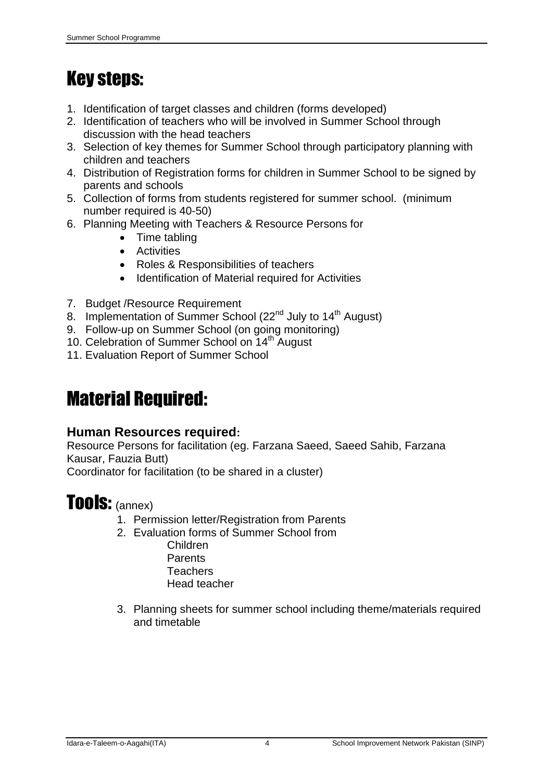#### Key steps:

- 1. Identification of target classes and children (forms developed)
- 2. Identification of teachers who will be involved in Summer School through discussion with the head teachers
- 3. Selection of key themes for Summer School through participatory planning with children and teachers
- 4. Distribution of Registration forms for children in Summer School to be signed by parents and schools
- 5. Collection of forms from students registered for summer school. (minimum number required is 40-50)
- 6. Planning Meeting with Teachers & Resource Persons for
	- Time tabling
	- **•** Activities
	- Roles & Responsibilities of teachers
	- Identification of Material required for Activities
- 7. Budget /Resource Requirement
- 8. Implementation of Summer School (22<sup>nd</sup> July to 14<sup>th</sup> August)
- 9. Follow-up on Summer School (on going monitoring)
- 10. Celebration of Summer School on 14<sup>th</sup> August
- 11. Evaluation Report of Summer School

#### Material Required:

#### **Human Resources required:**

Resource Persons for facilitation (eg. Farzana Saeed, Saeed Sahib, Farzana Kausar, Fauzia Butt) Coordinator for facilitation (to be shared in a cluster)

#### Tools: (annex)

- 1. Permission letter/Registration from Parents
- 2. Evaluation forms of Summer School from
	- Children Parents Teachers Head teacher
- 3. Planning sheets for summer school including theme/materials required and timetable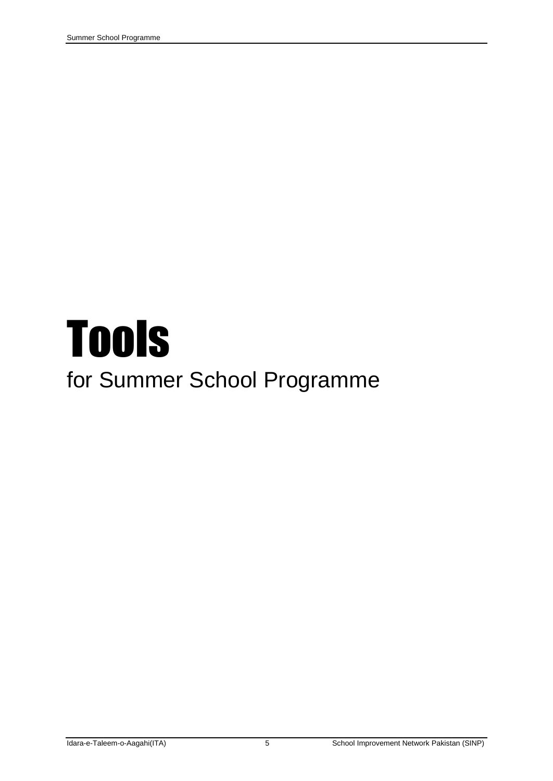## Tools for Summer School Programme